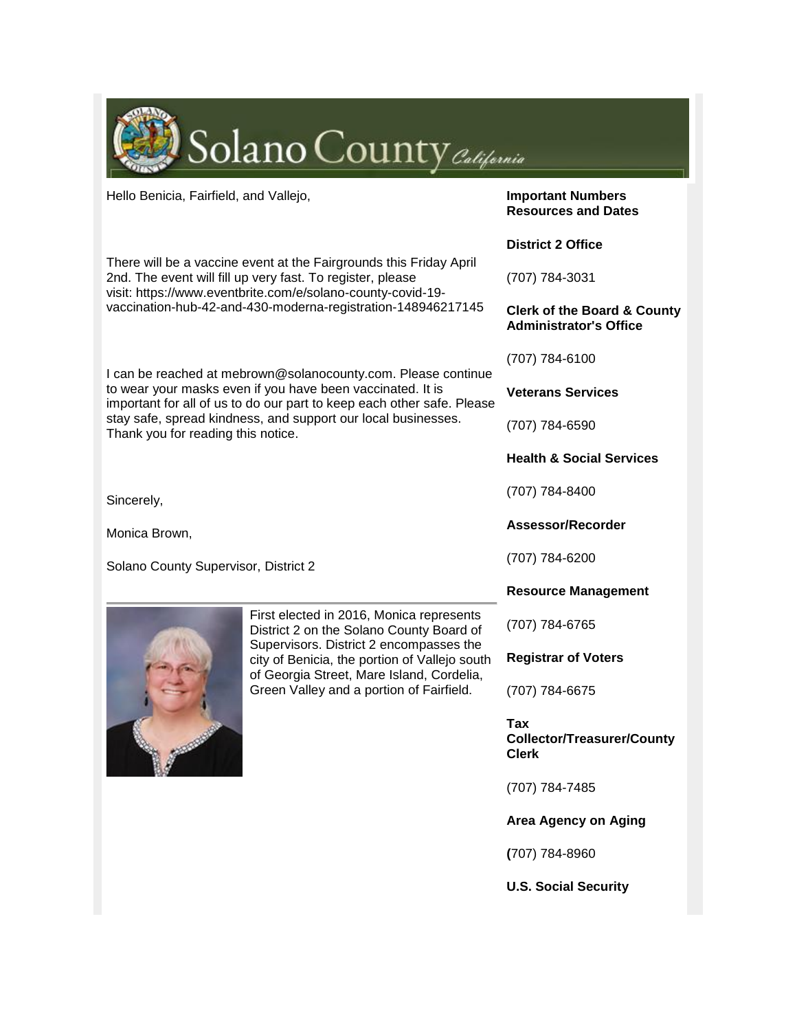| Solano County California                                                                                                                                                                                                                                                                                     |                                                                                                                                                                                                                                                                           |                                                                         |
|--------------------------------------------------------------------------------------------------------------------------------------------------------------------------------------------------------------------------------------------------------------------------------------------------------------|---------------------------------------------------------------------------------------------------------------------------------------------------------------------------------------------------------------------------------------------------------------------------|-------------------------------------------------------------------------|
| Hello Benicia, Fairfield, and Vallejo,                                                                                                                                                                                                                                                                       |                                                                                                                                                                                                                                                                           | <b>Important Numbers</b><br><b>Resources and Dates</b>                  |
|                                                                                                                                                                                                                                                                                                              |                                                                                                                                                                                                                                                                           | <b>District 2 Office</b>                                                |
| There will be a vaccine event at the Fairgrounds this Friday April<br>2nd. The event will fill up very fast. To register, please<br>visit: https://www.eventbrite.com/e/solano-county-covid-19-<br>vaccination-hub-42-and-430-moderna-registration-148946217145                                              |                                                                                                                                                                                                                                                                           | (707) 784-3031                                                          |
|                                                                                                                                                                                                                                                                                                              |                                                                                                                                                                                                                                                                           | <b>Clerk of the Board &amp; County</b><br><b>Administrator's Office</b> |
| I can be reached at mebrown@solanocounty.com. Please continue<br>to wear your masks even if you have been vaccinated. It is<br>important for all of us to do our part to keep each other safe. Please<br>stay safe, spread kindness, and support our local businesses.<br>Thank you for reading this notice. |                                                                                                                                                                                                                                                                           | (707) 784-6100                                                          |
|                                                                                                                                                                                                                                                                                                              |                                                                                                                                                                                                                                                                           | <b>Veterans Services</b>                                                |
|                                                                                                                                                                                                                                                                                                              |                                                                                                                                                                                                                                                                           | (707) 784-6590                                                          |
|                                                                                                                                                                                                                                                                                                              |                                                                                                                                                                                                                                                                           | <b>Health &amp; Social Services</b>                                     |
| Sincerely,<br>Monica Brown,<br>Solano County Supervisor, District 2                                                                                                                                                                                                                                          |                                                                                                                                                                                                                                                                           | (707) 784-8400                                                          |
|                                                                                                                                                                                                                                                                                                              |                                                                                                                                                                                                                                                                           | Assessor/Recorder                                                       |
|                                                                                                                                                                                                                                                                                                              |                                                                                                                                                                                                                                                                           | (707) 784-6200                                                          |
|                                                                                                                                                                                                                                                                                                              |                                                                                                                                                                                                                                                                           | <b>Resource Management</b>                                              |
|                                                                                                                                                                                                                                                                                                              | First elected in 2016, Monica represents<br>District 2 on the Solano County Board of<br>Supervisors. District 2 encompasses the<br>city of Benicia, the portion of Vallejo south<br>of Georgia Street, Mare Island, Cordelia,<br>Green Valley and a portion of Fairfield. | (707) 784-6765                                                          |
|                                                                                                                                                                                                                                                                                                              |                                                                                                                                                                                                                                                                           | <b>Registrar of Voters</b>                                              |
|                                                                                                                                                                                                                                                                                                              |                                                                                                                                                                                                                                                                           | (707) 784-6675                                                          |
|                                                                                                                                                                                                                                                                                                              |                                                                                                                                                                                                                                                                           | Tax<br><b>Collector/Treasurer/County</b><br><b>Clerk</b>                |
|                                                                                                                                                                                                                                                                                                              |                                                                                                                                                                                                                                                                           | (707) 784-7485                                                          |
|                                                                                                                                                                                                                                                                                                              |                                                                                                                                                                                                                                                                           | <b>Area Agency on Aging</b>                                             |
|                                                                                                                                                                                                                                                                                                              |                                                                                                                                                                                                                                                                           | (707) 784-8960                                                          |
|                                                                                                                                                                                                                                                                                                              |                                                                                                                                                                                                                                                                           | <b>U.S. Social Security</b>                                             |